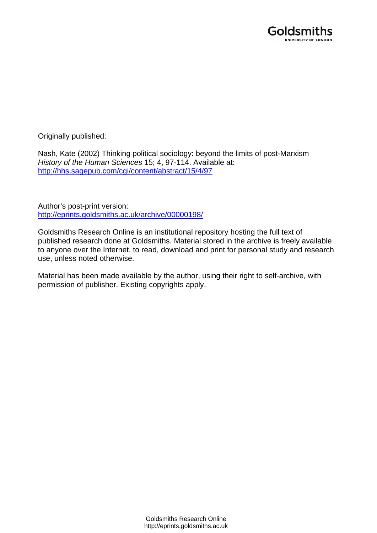

Originally published:

Nash, Kate (2002) Thinking political sociology: beyond the limits of post-Marxism *History of the Human Sciences* 15; 4, 97-114. Available at: <http://hhs.sagepub.com/cgi/content/abstract/15/4/97>

Author's post-print version: <http://eprints.goldsmiths.ac.uk/archive/00000198/>

Goldsmiths Research Online is an institutional repository hosting the full text of published research done at Goldsmiths. Material stored in the archive is freely available to anyone over the Internet, to read, download and print for personal study and research use, unless noted otherwise.

Material has been made available by the author, using their right to self-archive, with permission of publisher. Existing copyrights apply.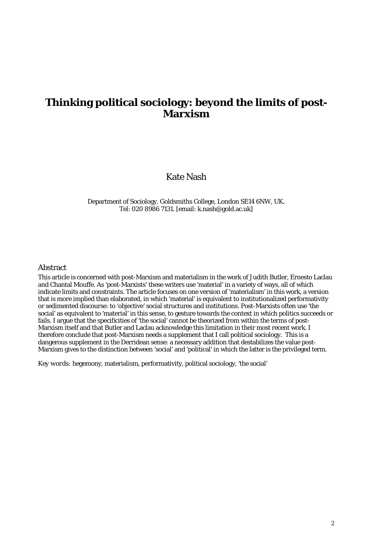# **Thinking political sociology: beyond the limits of post-Marxism**

# Kate Nash

Department of Sociology, Goldsmiths College, London SE14 6NW, UK. Tel: 020 8986 7131. [email: k.nash@gold.ac.uk]

#### Abstract

This article is concerned with post-Marxism and materialism in the work of Judith Butler, Ernesto Laclau and Chantal Mouffe. As 'post-Marxists' these writers use 'material' in a variety of ways, all of which indicate limits and constraints. The article focuses on one version of 'materialism' in this work, a version that is more implied than elaborated, in which 'material' is equivalent to institutionalized performativity or sedimented discourse: to 'objective' social structures and institutions. Post-Marxists often use 'the social' as equivalent to 'material' in this sense, to gesture towards the context in which politics succeeds or fails. I argue that the specificities of 'the social' cannot be theorized from within the terms of post-Marxism itself and that Butler and Laclau acknowledge this limitation in their most recent work. I therefore conclude that post-Marxism needs a supplement that I call political sociology. This is a dangerous supplement in the Derridean sense: a necessary addition that destabilizes the value post-Marxism gives to the distinction between 'social' and 'political' in which the latter is the privileged term.

*Key words:* hegemony, materialism, performativity, political sociology, 'the social'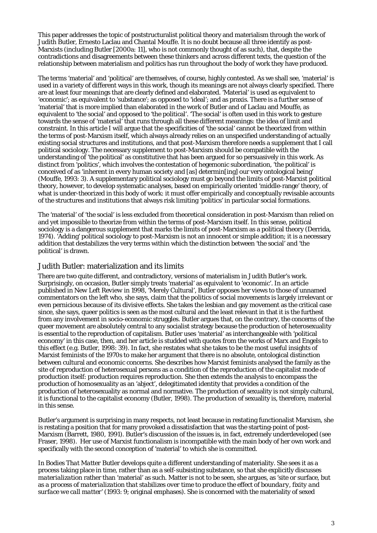This paper addresses the topic of poststructuralist political theory and materialism through the work of Judith Butler, Ernesto Laclau and Chantal Mouffe. It is no doubt because all three identify as post-Marxists (including Butler [2000a: 11], who is not commonly thought of as such), that, despite the contradictions and disagreements between these thinkers and across different texts, the question of the relationship between materialism and politics has run throughout the body of work they have produced.

The terms 'material' and 'political' are themselves, of course, highly contested. As we shall see, 'material' is used in a variety of different ways in this work, though its meanings are not always clearly specified. There are at least four meanings that are clearly defined and elaborated. 'Material' is used as equivalent to 'economic'; as equivalent to 'substance'; as opposed to 'ideal'; and as praxis. There is a further sense of 'material' that is more implied than elaborated in the work of Butler and of Laclau and Mouffe, as equivalent to 'the social' and opposed to 'the political'. 'The social' is often used in this work to gesture towards the sense of 'material' that runs through all these different meanings: the idea of limit and constraint. In this article I will argue that the specificities of 'the social' cannot be theorized from within the terms of post-Marxism itself, which always already relies on an unspecified understanding of actually existing social structures and institutions, and that post-Marxism therefore needs a supplement that I call political sociology. The necessary supplement to post-Marxism should be compatible with the understanding of 'the political' as constitutive that has been argued for so persuasively in this work. As distinct from 'politics', which involves the contestation of hegemonic subordination, 'the political' is conceived of as 'inherent in every human society and [as] determin[ing] our very ontological being' (Mouffe, 1993: 3). A supplementary political sociology must go beyond the limits of post-Marxist political theory, however, to develop systematic analyses, based on empirically oriented 'middle-range' theory, of what is under-theorized in this body of work: it must offer empirically and conceptually revisable accounts of the structures and institutions that always risk limiting 'politics' in particular social formations.

The 'material' of 'the social' is less excluded from theoretical consideration in post-Marxism than relied on and yet impossible to theorize from within the terms of post-Marxism itself. In this sense, political sociology is a dangerous supplement that marks the limits of post-Marxism as a political theory (Derrida, 1974). 'Adding' political sociology to post-Marxism is not an innocent or simple addition; it is a necessary addition that destabilizes the very terms within which the distinction between 'the social' and 'the political' is drawn.

#### Judith Butler: materialization and its limits

There are two quite different, and contradictory, versions of materialism in Judith Butler's work. Surprisingly, on occasion, Butler simply treats 'material' as equivalent to 'economic'. In an article published in *New Left Review* in 1998, 'Merely Cultural', Butler opposes her views to those of unnamed commentators on the left who, she says, claim that the politics of social movements is largely irrelevant or even pernicious because of its divisive effects. She takes the lesbian and gay movement as the critical case since, she says, queer politics is seen as the most cultural and the least relevant in that it is the furthest from any involvement in socio-economic struggles. Butler argues that, on the contrary, the concerns of the queer movement are absolutely central to any socialist strategy because the production of heterosexuality is essential to the reproduction of capitalism. Butler uses 'material' as interchangeable with 'political economy' in this case, then, and her article is studded with quotes from the works of Marx and Engels to this effect (e.g. Butler, 1998: 39). In fact, she restates what she takes to be the most useful insights of Marxist feminists of the 1970s to make her argument that there is no absolute, ontological distinction between cultural and economic concerns. She describes how Marxist feminists analysed the family as the site of reproduction of heterosexual persons as a condition of the reproduction of the capitalist mode of production itself: production requires reproduction. She then extends the analysis to encompass the production of homosexuality as an 'abject', delegitimated identity that provides a condition of the production of heterosexuality as normal and normative. The production of sexuality is not simply cultural, it is functional to the capitalist economy (Butler, 1998). The production of sexuality is, therefore, material in this sense.

Butler's argument is surprising in many respects, not least because in restating functionalist Marxism, she is restating a position that for many provoked a dissatisfaction that was the starting-point of post-Marxism (Barrett, 1980, 1991). Butler's discussion of the issues is, in fact, extremely underdeveloped (see Fraser, 1998). Her use of Marxist functionalism is incompatible with the main body of her own work and specifically with the second conception of 'material' to which she is committed.

In *Bodies That Matter* Butler develops quite a different understanding of materiality. She sees it as a process taking place in time, rather than as a self-subsisting substance, so that she explicitly discusses *materialization* rather than 'material' as such. Matter is not to be seen, she argues, as 'site or surface, but as *a process of materialization that stabilizes over time to produce the effect of boundary, fixity and surface we call matter*' (1993: 9; original emphases). She is concerned with the materiality of sexed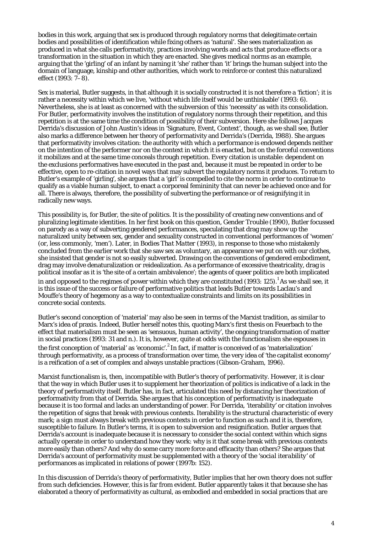bodies in this work, arguing that sex is produced through regulatory norms that delegitimate certain bodies and possibilities of identification while fixing others as 'natural'. She sees materialization as produced in what she calls performativity, practices involving words and acts that produce effects or a transformation in the situation in which they are enacted. She gives medical norms as an example, arguing that the 'girling' of an infant by naming it 'she' rather than 'it' brings the human subject into the domain of language, kinship and other authorities, which work to reinforce or contest this naturalized effect (1993: 7–8).

Sex is material, Butler suggests, in that although it is socially constructed it is not therefore a 'fiction'; it is rather a necessity within which we live, 'without which life itself would be unthinkable' (1993: 6). Nevertheless, she is at least as concerned with the subversion of this 'necessity' as with its consolidation. For Butler, performativity involves the institution of regulatory norms through their repetition, and this repetition is at the same time the condition of possibility of their subversion. Here she follows Jacques Derrida's discussion of John Austin's ideas in 'Signature, Event, Context', though, as we shall see, Butler also marks a difference between her theory of performativity and Derrida's (Derrida, 1988). She argues that performativity involves *citation*: the authority with which a performance is endowed depends neither on the intention of the performer nor on the context in which it is enacted, but on the forceful conventions it mobilizes and at the same time conceals through repetition. Every citation is unstable: dependent on the exclusions performatives have executed in the past and, because it must be repeated in order to be effective, open to re-citation in novel ways that may subvert the regulatory norms it produces. To return to Butler's example of 'girling', she argues that a 'girl' is compelled to cite the norm in order to continue to qualify as a viable human subject, to enact a corporeal femininity that can never be achieved once and for all. There is always, therefore, the possibility of subverting the performance or of resignifying it in radically new ways.

This possibility is, for Butler, the site of politics. It is the possibility of creating new conventions and of pluralizing legitimate identities. In her first book on this question, *Gender Trouble* (1990), Butler focussed on parody as a way of subverting gendered performances, speculating that drag may show up the naturalized unity between sex, gender and sexuality constructed in conventional performances of 'women' (or, less commonly, 'men'). Later, in *Bodies That Matter* (1993), in response to those who mistakenly concluded from the earlier work that she saw sex as voluntary, an appearance we put on with our clothes, she insisted that gender is not so easily subverted. Drawing on the conventions of gendered embodiment, drag may involve denaturalization *or* reidealization. As a performance of excessive theatricality, drag is political insofar as it is 'the site of a certain ambivalence'; the agents of queer politics are both implicated in and opposed to the regimes of power within which they are constituted (1993: 125).<sup>1</sup> As we shall see, it is this issue of the success or failure of performative politics that leads Butler towards Laclau's and Mouffe's theory of hegemony as a way to contextualize constraints and limits on its possibilities in concrete social contexts.

Butler's second conception of 'material' may also be seen in terms of the Marxist tradition, as similar to Marx's idea of praxis. Indeed, Butler herself notes this, quoting Marx's first thesis on Feuerbach to the effect that materialism must be seen as 'sensuous, human activity', the ongoing transformation of matter in social practices (1993: 31 and n.). It is, however, quite at odds with the functionalism she espouses in the first conception of 'material' as 'economic'.<sup>2</sup> In fact, if matter is conceived of as 'materialization' through performativity, as a process of transformation over time, the very idea of 'the capitalist economy' is a reification of a set of complex and always unstable practices (Gibson-Graham, 1996).

Marxist functionalism is, then, incompatible with Butler's theory of performativity. However, it is clear that the way in which Butler uses it to supplement her theorization of politics is indicative of a lack in the theory of performativity itself. Butler has, in fact, articulated this need by distancing her theorization of performativity from that of Derrida. She argues that his conception of performativity is inadequate because it is too formal and lacks an understanding of power. For Derrida, 'iterability' or citation involves the repetition of signs that break with previous contexts. Iterability is the structural characteristic of every mark; a sign must always break with previous contexts in order to function as such and it is, therefore, susceptible to failure. In Butler's terms, it is open to subversion and resignification. Butler argues that Derrida's account is inadequate because it is necessary to consider the *social* context within which signs actually operate in order to understand how they work: why is it that some break with previous contexts more easily than others? And why do some carry more force and efficacity than others? She argues that Derrida's account of performativity must be supplemented with a theory of the '*social iterability*' of performances as implicated in relations of power (1997b: 152).

In this discussion of Derrida's theory of performativity, Butler implies that her own theory does not suffer from such deficiencies. However, this is far from evident. Butler apparently takes it that because she has elaborated a theory of performativity as cultural, as embodied and embedded in social practices that are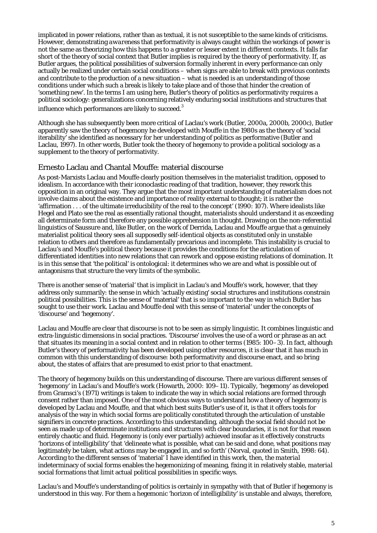implicated in power relations, rather than as textual, it is not susceptible to the same kinds of criticisms. However, demonstrating *awareness* that performativity is always caught within the workings of power is not the same as theorizing how this happens to a greater or lesser extent in different contexts. It falls far short of the theory of social context that Butler implies is required by the theory of performativity. If, as Butler argues, the political possibilities of subversion formally inherent in every performance can only actually be realized under certain social conditions – when signs are able to break with previous contexts and contribute to the production of a new situation – what is needed is an understanding of those conditions under which such a break is likely to take place and of those that hinder the creation of 'something new'. In the terms I am using here, Butler's theory of politics as performativity requires a political sociology: generalizations concerning relatively enduring social institutions and structures that influence which performances are likely to succeed.<sup>3</sup>

Although she has subsequently been more critical of Laclau's work (Butler, 2000a, 2000b, 2000c), Butler apparently saw the theory of hegemony he developed with Mouffe in the 1980s as the theory of 'social iterability' she identified as necessary for her understanding of politics as performative (Butler and Laclau, 1997). In other words, Butler took the theory of hegemony to provide a political sociology as a supplement to the theory of performativity.

### Ernesto Laclau and Chantal Mouffe: material discourse

As post-Marxists Laclau and Mouffe clearly position themselves in the materialist tradition, opposed to idealism. In accordance with their iconoclastic reading of that tradition, however, they rework this opposition in an original way. They argue that the most important understanding of materialism does not involve claims about the existence and importance of reality external to thought; it is rather the 'affirmation . . . of the ultimate irreducibility of the real to the concept' (1990: 107). Where idealists like Hegel and Plato see the real as essentially rational thought, materialists should understand it as exceeding all determinate form and therefore any possible apprehension in thought. Drawing on the non-referential linguistics of Saussure and, like Butler, on the work of Derrida, Laclau and Mouffe argue that a genuinely materialist political theory sees all supposedly self-identical objects as constituted only in unstable relation to others and therefore as fundamentally precarious and incomplete. This instability is crucial to Laclau's and Mouffe's political theory because it provides the conditions for the articulation of differentiated identities into new relations that can rework and oppose existing relations of domination. It is in this sense that 'the political' is ontological: it determines who we are and what is possible out of antagonisms that structure the very limits of the symbolic.

There is another sense of 'material' that is implicit in Laclau's and Mouffe's work, however, that they address only summarily: the sense in which 'actually existing' social structures and institutions constrain political possibilities. This is the sense of 'material' that is so important to the way in which Butler has sought to use their work. Laclau and Mouffe deal with this sense of 'material' under the concepts of 'discourse' and 'hegemony'.

Laclau and Mouffe are clear that discourse is not to be seen as simply linguistic. It combines linguistic and extra-linguistic dimensions in social practices. 'Discourse' involves the use of a word or phrase as an act that situates its meaning in a social context and in relation to other terms (1985: 100–3). In fact, although Butler's theory of performativity has been developed using other resources, it is clear that it has much in common with this understanding of discourse: both performativity and discourse enact, and so bring about, the states of affairs that are presumed to exist prior to that enactment.

The theory of hegemony builds on this understanding of discourse. There are various different senses of 'hegemony' in Laclau's and Mouffe's work (Howarth, 2000: 109–11). Typically, 'hegemony' as developed from Gramsci's (1971) writings is taken to indicate the way in which social relations are formed through consent rather than imposed. One of the most obvious ways to understand how a theory of hegemony is developed by Laclau and Mouffe, and that which best suits Butler's use of it, is that it offers tools for analysis of the way in which social forms are politically constituted through the articulation of unstable signifiers in concrete practices. According to this understanding, although the social field should not be seen as made up of determinate institutions and structures with clear boundaries, it is not for that reason entirely chaotic and fluid. Hegemony is (only ever partially) achieved insofar as it effectively constructs 'horizons of intelligibility' that 'delineate what is possible, what can be said and done, what positions may legitimately be taken, what actions may be engaged in, and so forth' (Norval, quoted in Smith, 1998: 64). According to the different senses of 'material' I have identified in this work, then, the *material*  indeterminacy of social forms enables the hegemonizing of meaning, fixing it in relatively stable, *material*  social formations that limit actual political possibilities in specific ways.

Laclau's and Mouffe's understanding of politics is certainly in sympathy with that of Butler if hegemony is understood in this way. For them a hegemonic 'horizon of intelligibility' is unstable and always, therefore,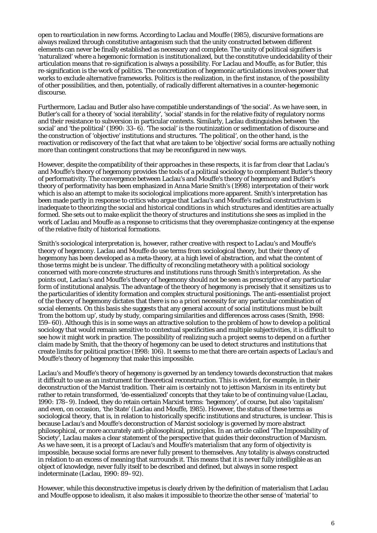open to rearticulation in new forms. According to Laclau and Mouffe (1985), discursive formations are always realized through constitutive antagonism such that the unity constructed between different elements can never be finally established as necessary and complete. The unity of political signifiers is 'naturalized' where a hegemonic formation is institutionalized, but the constitutive undecidability of their articulation means that re-signification is always a possibility. For Laclau and Mouffe, as for Butler, this re-signification is the work of politics. The concretization of hegemonic articulations involves power that works to exclude alternative frameworks. Politics is the realization, in the first instance, of the possibility of other possibilities, and then, potentially, of radically different alternatives in a counter-hegemonic discourse.

Furthermore, Laclau and Butler also have compatible understandings of 'the social'. As we have seen, in Butler's call for a theory of 'social iterability', 'social' stands in for the relative fixity of regulatory norms and their resistance to subversion in particular contexts. Similarly, Laclau distinguishes between 'the social' and 'the political' (1990: 33–6). 'The social' is the routinization or sedimentation of discourse and the construction of 'objective' institutions and structures. 'The political', on the other hand, is the reactivation or rediscovery of the fact that what are taken to be 'objective' social forms are actually nothing more than contingent constructions that may be reconfigured in new ways.

However, despite the compatibility of their approaches in these respects, it is far from clear that Laclau's and Mouffe's theory of hegemony provides the tools of a political sociology to complement Butler's theory of performativity. The convergence between Laclau's and Mouffe's theory of hegemony and Butler's theory of performativity has been emphasized in Anna Marie Smith's (1998) interpretation of their work which is also an attempt to make its sociological implications more apparent. Smith's interpretation has been made partly in response to critics who argue that Laclau's and Mouffe's radical constructivism is inadequate to theorizing the social and historical conditions in which structures and identities are actually formed. She sets out to make explicit the theory of structures and institutions she sees as implied in the work of Laclau and Mouffe as a response to criticisms that they overemphasize contingency at the expense of the relative fixity of historical formations.

Smith's sociological interpretation is, however, rather creative with respect to Laclau's and Mouffe's theory of hegemony. Laclau and Mouffe do use terms from sociological theory, but their theory of hegemony has been developed as a meta-theory, at a high level of abstraction, and what the *content* of those terms might be is unclear. The difficulty of reconciling metatheory with a political sociology concerned with more concrete structures and institutions runs through Smith's interpretation. As she points out, Laclau's and Mouffe's theory of hegemony should not be seen as prescriptive of any particular form of institutional analysis. The advantage of the theory of hegemony is precisely that it sensitizes us to the particularities of identity formation and complex structural positionings. The anti-essentialist project of the theory of hegemony dictates that there is no a priori necessity for any particular combination of social elements. On this basis she suggests that any general account of social institutions must be built 'from the bottom up', study by study, comparing similarities and differences across cases (Smith, 1998: 159–60). Although this is in some ways an attractive solution to the problem of how to develop a political sociology that would remain sensitive to contextual specificities and multiple subjectivities, it is difficult to see how it might work in practice. The possibility of realizing such a project seems to depend on a further claim made by Smith, that the theory of hegemony can be used to *detect* structures and institutions that create limits for political practice (1998: 106). It seems to me that there are certain aspects of Laclau's and Mouffe's theory of hegemony that make this impossible.

Laclau's and Mouffe's theory of hegemony is governed by an tendency towards *de*construction that makes it difficult to use as an instrument for theoretical *re*construction. This is evident, for example, in their deconstruction of the Marxist tradition. Their aim is certainly not to jettison Marxism in its entirety but rather to retain transformed, 'de-essentialized' concepts that they take to be of continuing value (Laclau, 1990: 178–9). Indeed, they do retain certain Marxist terms: 'hegemony', of course, but also 'capitalism' and even, on occasion, 'the State' (Laclau and Mouffe, 1985). However, the status of these terms as sociological theory, that is, in relation to historically specific institutions and structures, is unclear. This is because Laclau's and Mouffe's deconstruction of Marxist sociology is governed by more abstract philosophical, or more accurately anti-philosophical, principles. In an article called 'The Impossibility of Society', Laclau makes a clear statement of the perspective that guides their deconstruction of Marxism. As we have seen, it is a precept of Laclau's and Mouffe's materialism that any form of objectivity is impossible, because social forms are never fully present to themselves. Any totality is always constructed in relation to an excess of meaning that surrounds it. This means that it is never fully intelligible as an object of knowledge, never fully itself to be described and defined, but always in some respect indeterminate (Laclau, 1990: 89–92).

However, while this deconstructive impetus is clearly driven by the definition of materialism that Laclau and Mouffe oppose to idealism, it also makes it impossible to theorize the other sense of 'material' to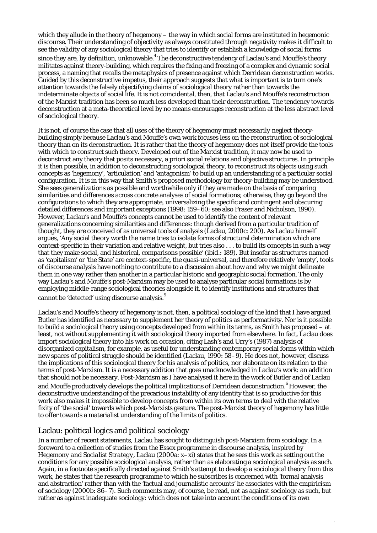which they allude in the theory of hegemony – the way in which social forms are instituted in hegemonic discourse. Their understanding of objectivity as always constituted through negativity makes it difficult to see the validity of any sociological theory that tries to identify or establish a knowledge of social forms since they are, by definition, unknowable.<sup>4</sup> The deconstructive tendency of Laclau's and Mouffe's theory militates against theory-building, which requires the fixing and freezing of a complex and dynamic social process, a naming that recalls the metaphysics of presence against which Derridean deconstruction works. Guided by this deconstructive impetus, their approach suggests that what is important is to turn one's attention towards the falsely objectifying claims of sociological theory rather than towards the indeterminate objects of social life. It is not coincidental, then, that Laclau's and Mouffe's reconstruction of the Marxist tradition has been so much less developed than their deconstruction. The tendency towards deconstruction at a meta-theoretical level by no means encourages reconstruction at the less abstract level of sociological theory.

It is not, of course the case that all uses of the theory of hegemony must *necessarily* neglect theorybuilding simply because Laclau's and Mouffe's own work focuses less on the reconstruction of sociological theory than on its deconstruction. It is rather that the theory of hegemony does not itself provide the tools with which to construct such theory. Developed out of the Marxist tradition, it may now be used to deconstruct any theory that posits necessary, a priori social relations and objective structures. In principle it is then possible, in addition to deconstructing sociological theory, to reconstruct its objects using such concepts as 'hegemony', 'articulation' and 'antagonism' to build up an understanding of a particular social configuration. It is in this way that Smith's proposed methodology for theory-building may be understood. She sees generalizations as possible and worthwhile only if they are made on the basis of comparing similarities and differences across concrete analyses of social formations; otherwise, they go beyond the configurations to which they are appropriate, universalizing the specific and contingent and obscuring detailed differences and important exceptions (1998: 159–60; see also Fraser and Nicholson, 1990). However, Laclau's and Mouffe's concepts cannot be used to identify the *content* of relevant generalizations concerning similarities and differences: though derived from a particular tradition of thought, they are conceived of as universal tools of analysis (Laclau, 2000c: 200). As Laclau himself argues, 'Any social theory worth the name tries to isolate forms of structural determination which are context-specific in their variation and relative weight, but tries also . . . to build its concepts in such a way that they make social, and historical, comparisons possible' (ibid.: 189). But insofar as structures named as 'capitalism' or 'the State' are context-specific, the quasi-universal, and therefore relatively 'empty', tools of discourse analysis have nothing to contribute to a discussion about how and why we might delineate them in one way rather than another in a particular historic and geographic social formation. The only way Laclau's and Mouffe's post-Marxism may be used to analyse particular social formations is by employing middle-range sociological theories alongside it, to identify institutions and structures that cannot be 'detected' using discourse analysis.<sup>5</sup>

Laclau's and Mouffe's theory of hegemony is not, then, a political sociology of the kind that I have argued Butler has identified as necessary to supplement her theory of politics as performativity. Nor is it possible to build a sociological theory using concepts developed from within its terms, as Smith has proposed – at least, not without supplementing it with sociological theory imported from elsewhere. In fact, Laclau does import sociological theory into his work on occasion, citing Lash's and Urry's (1987) analysis of disorganized capitalism, for example, as useful for understanding contemporary social forms within which new spaces of political struggle should be identified (Laclau, 1990: 58–9). He does not, however, discuss the implications of this sociological theory for his analysis of politics, nor elaborate on its relation to the terms of post-Marxism. It is a necessary addition that goes unacknowledged in Laclau's work: an addition that should not be necessary. Post-Marxism as I have analysed it here in the work of Butler and of Laclau and Mouffe productively develops the political implications of Derridean deconstruction.<sup>6</sup> However, the deconstructive understanding of the precarious instability of any identity that is so productive for this work also makes it impossible to develop concepts from within its own terms to deal with the relative fixity of 'the social' towards which post-Marxists gesture. The post-Marxist theory of hegemony has little to offer towards a materialist understanding of the *limits* of politics.

### Laclau: political logics and political sociology

In a number of recent statements, Laclau has sought to distinguish post-Marxism from sociology. In a foreword to a collection of studies from the Essex programme in discourse analysis, inspired by *Hegemony and Socialist Strategy*, Laclau (2000a: x–xi) states that he sees this work as setting out the conditions for any possible sociological analysis, rather than as elaborating a sociological analysis as such. Again, in a footnote specifically directed against Smith's attempt to develop a sociological theory from this work, he states that the research programme to which he subscribes is concerned with 'formal analysis and abstraction' rather than with the 'factual and journalistic accounts' he associates with the empiricism of sociology (2000b: 86–7). Such comments may, of course, be read, not as against sociology as such, but rather as against inadequate sociology: which does not take into account the conditions of its own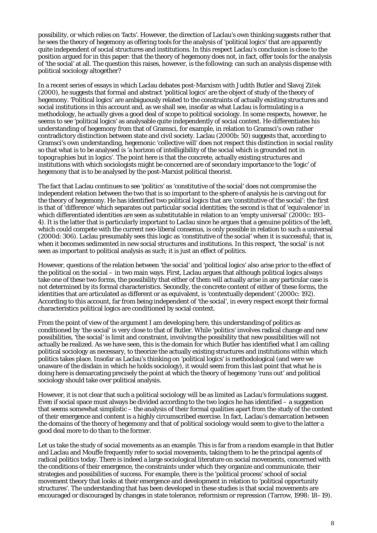possibility, or which relies on 'facts'. However, the direction of Laclau's own thinking suggests rather that he sees the theory of hegemony as offering tools for the analysis of 'political logics' that are apparently quite independent of social structures and institutions. In this respect Laclau's conclusion is close to the position argued for in this paper: that the theory of hegemony does not, in fact, offer tools for the analysis of 'the social' at all. The question this raises, however, is the following: can such an analysis dispense with political sociology altogether?

In a recent series of essays in which Laclau debates post-Marxism with Judith Butler and Slavoj Zižek (2000), he suggests that formal and abstract 'political logics' are the object of study of the theory of hegemony. 'Political logics' are ambiguously related to the constraints of actually existing structures and social institutions in this account and, as we shall see, insofar as what Laclau is formulating is a methodology, he actually gives a good deal of scope to political sociology. In some respects, however, he seems to see 'political logics' as analysable quite independently of social context. He differentiates his understanding of hegemony from that of Gramsci, for example, in relation to Gramsci's own rather contradictory distinction between state and civil society. Laclau (2000b: 50) suggests that, according to Gramsci's own understanding, hegemonic 'collective will' does not respect this distinction in *social reality*  so that what is to be analysed is 'a horizon of intelligibility of the social which is grounded not in *topographies* but in *logics*'. The point here is that the concrete, actually existing structures and institutions with which sociologists might be concerned are of secondary importance to the 'logic' of hegemony that is to be analysed by the post-Marxist political theorist.

The fact that Laclau continues to see 'politics' as 'constitutive of the social' does not compromise the independent relation between the two that is so important to the sphere of analysis he is carving out for the theory of hegemony. He has identified two political logics that are 'constitutive of the social': the first is that of 'difference' which separates out particular social identities; the second is that of 'equivalence' in which differentiated identities are seen as substitutable in relation to an 'empty universal' (2000c: 193– 4). It is the latter that is particularly important to Laclau since he argues that a genuine politics of the left, which could compete with the current neo-liberal consenus, is only possible in relation to such a universal (2000d: 306). Laclau presumably sees this logic as 'constitutive of the social' when it is successful; that is, when it becomes sedimented in new social structures and institutions. In this respect, 'the social' is not seen as important to political analysis as such; it is just an effect of politics.

However, questions of the relation between 'the social' and 'political logics' also arise prior to the effect of the political on the social – in two main ways. First, Laclau argues that although political logics always take one of these two forms, the possibility that either of them will actually arise in any particular case is not determined by its formal characteristics. Secondly, the concrete content of either of these forms, the identities that are articulated as different or as equivalent, is 'contextually dependent' (2000c: 192). According to this account, far from being independent of 'the social', in every respect except their formal characteristics political logics are conditioned by social context.

From the point of view of the argument I am developing here, this understanding of politics as conditioned by 'the social' is very close to that of Butler. While 'politics' involves radical change and new possibilities, 'the social' is limit and constraint, involving the possibility that new possibilities will not actually be realized. As we have seen, this is the domain for which Butler has identified what I am calling political sociology as necessary, to theorize the actually existing structures and institutions within which politics takes place. Insofar as Laclau's thinking on 'political logics' is methodological (and were we unaware of the disdain in which he holds sociology), it would seem from this last point that what he is doing here is demarcating precisely the point at which the theory of hegemony 'runs out' and political sociology should take over political analysis.

However, it is not clear that such a political sociology will be as limited as Laclau's formulations suggest. Even if social space must always be divided according to the two logics he has identified – a suggestion that seems somewhat simplistic – the analysis of their formal qualities apart from the study of the context of their emergence and content is a highly circumscribed exercise. In fact, Laclau's demarcation between the domains of the theory of hegemony and that of political sociology would seem to give to the latter a good deal more to do than to the former.

Let us take the study of social movements as an example. This is far from a random example in that Butler and Laclau and Mouffe frequently refer to social movements, taking them to be the principal agents of radical politics today. There is indeed a large sociological literature on social movements, concerned with the conditions of their emergence, the constraints under which they organize and communicate, their strategies and possibilities of success. For example, there is the 'political process' school of social movement theory that looks at their emergence and development in relation to 'political opportunity structures'. The understanding that has been developed in these studies is that social movements are encouraged or discouraged by changes in state tolerance, reformism or repression (Tarrow, 1998: 18–19).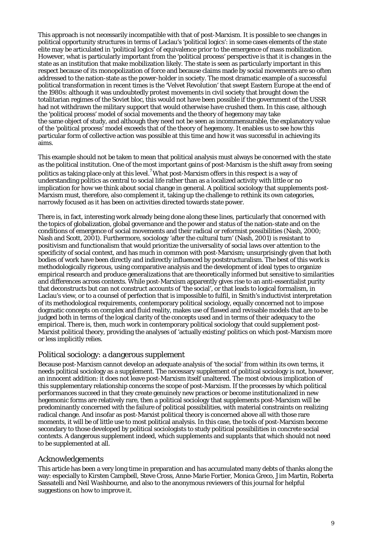This approach is not necessarily incompatible with that of post-Marxism. It is possible to see changes in political opportunity structures in terms of Laclau's 'political logics': in some cases elements of the state elite may be articulated in 'political logics' of equivalence prior to the emergence of mass mobilization. However, what is particularly important from the 'political process' perspective is that it is changes in the state as an institution that make mobilization likely. The state is seen as particularly important in this respect because of its monopolization of force and because claims made by social movements are so often addressed to the nation-state as the power-holder in society. The most dramatic example of a successful political transformation in recent times is the 'Velvet Revolution' that swept Eastern Europe at the end of the 1980s: although it was undoubtedly protest movements in civil society that brought down the totalitarian regimes of the Soviet bloc, this would not have been possible if the government of the USSR had not withdrawn the military support that would otherwise have crushed them. In this case, although the 'political process' model of social movements and the theory of hegemony may take the same object of study, and although they need not be seen as incommensurable, the explanatory value of the 'political process' model exceeds that of the theory of hegemony. It enables us to see how this particular form of collective action was possible at this time and how it was successful in achieving its aims.

This example should not be taken to mean that political analysis must always be concerned with the state as *the* political institution. One of the most important gains of post-Marxism is the shift away from seeing politics as taking place only at this level.<sup>7</sup> What post-Marxism offers in this respect is a way of understanding politics as central to social life rather than as a localized activity with little or no implication for how we think about social change in general. A political sociology that supplements post-Marxism must, therefore, also complement it, taking up the challenge to rethink its own categories, narrowly focused as it has been on activities directed towards state power.

There is, in fact, interesting work already being done along these lines, particularly that concerned with the topics of globalization, global governance and the power and status of the nation-state and on the conditions of emergence of social movements and their radical or reformist possibilities (Nash, 2000; Nash and Scott, 2001). Furthermore, sociology 'after the cultural turn' (Nash, 2001) is resistant to positivism and functionalism that would prioritize the universality of social laws over attention to the specificity of social context, and has much in common with post-Marxism; unsurprisingly given that both bodies of work have been directly and indirectly influenced by poststructuralism. The best of this work is methodologically rigorous, using comparative analysis and the development of ideal types to organize empirical research and produce generalizations that are theoretically informed but sensitive to similarities and differences across contexts. While post-Marxism apparently gives rise to an anti-essentialist purity that deconstructs but can not construct accounts of 'the social', or that leads to logical formalism, in Laclau's view, or to a counsel of perfection that is impossible to fulfil, in Smith's inductivist interpretation of its methodological requirements, contemporary political sociology, equally concerned not to impose dogmatic concepts on complex and fluid reality, makes use of flawed and revisable models that are to be judged both in terms of the logical clarity of the concepts used and in terms of their adequacy to the empirical. There is, then, much work in contemporary political sociology that could supplement post-Marxist political theory, providing the analyses of 'actually existing' politics on which post-Marxism more or less implicitly relies.

# Political sociology: a dangerous supplement

Because post-Marxism cannot develop an adequate analysis of 'the social' from within its own terms, it needs political sociology as a supplement. The necessary supplement of political sociology is not, however, an innocent addition: it does not leave post-Marxism itself unaltered. The most obvious implication of this supplementary relationship concerns the scope of post-Marxism. If the processes by which political performances succeed in that they create genuinely new practices or become institutionalized in new hegemonic forms are relatively rare, then a political sociology that supplements post-Marxism will be predominantly concerned with the failure of political possibilities, with material constraints on realizing radical change. And insofar as post-Marxist political theory is concerned above all with those rare moments, it will be of little use to most political analysis. In this case, the tools of post-Marxism become secondary to those developed by political sociologists to study political possibilities in concrete social contexts. A dangerous supplement indeed, which supplements and supplants that which should not need to be supplemented at all.

### Acknowledgements

This article has been a very long time in preparation and has accumulated many debts of thanks along the way: especially to Kirsten Campbell, Steve Cross, Anne-Marie Fortier, Monica Greco, Jim Martin, Roberta Sassatelli and Neil Washbourne, and also to the anonymous reviewers of this journal for helpful suggestions on how to improve it.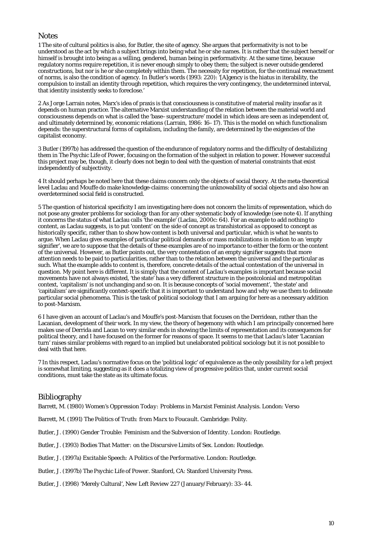#### **Notes**

1 The site of cultural politics is also, for Butler, the site of agency. She argues that performativity is not to be understood as the act by which a subject brings into being what he or she names. It is rather that the subject herself or himself is brought into being as a willing, gendered, human being in performativity. At the same time, because regulatory norms require repetition, it is never enough simply to obey them; the subject is never outside gendered constructions, but nor is he or she completely within them. The necessity for repetition, for the continual reenactment of norms, is also the condition of agency. In Butler's words (1993: 220): '[A]gency is the hiatus in iterability, the compulsion to install an identity through repetition, which requires the very contingency, the undetermined interval, that identity insistently seeks to foreclose.'

2 As Jorge Larrain notes, Marx's idea of praxis is that consciousness is constitutive of material reality insofar as it depends on human practice. The alternative Marxist understanding of the relation between the material world and consciousness depends on what is called the 'base–superstructure' model in which ideas are seen as independent of, and ultimately determined by, economic relations (Larrain, 1986: 16–17). This is the model on which functionalism depends: the superstructural forms of capitalism, including the family, are determined by the exigencies of the capitalist economy.

3 Butler (1997b) has addressed the question of the endurance of regulatory norms and the difficulty of destabilizing them in *The Psychic Life of Power*, focusing on the formation of the subject in relation to power. However successful this project may be, though, it clearly does not begin to deal with the question of material constraints that exist independently of subjectivity.

4 It should perhaps be noted here that these claims concern only the objects of social theory. At the meta-theoretical level Laclau and Mouffe do make knowledge-claims: concerning the unknowability of social objects and also how an overdetermined social field is constructed.

5 The question of historical specificity I am investigating here does not concern the limits of representation, which do not pose any greater problems for sociology than for any other systematic body of knowledge (see note 4). If anything it concerns the status of what Laclau calls 'the example' (Laclau, 2000c: 64). For an example to add nothing to content, as Laclau suggests, is to put 'content' on the side of concept as transhistorical *as opposed to* concept as historically specific, rather than to show how content is both universal and particular, which is what he wants to argue. When Laclau gives examples of particular political demands or mass mobilizations in relation to an 'empty signifier', we are to suppose that the details of these examples are of no importance to either the form or the content of the universal. However, as Butler points out, the very contestation of an empty signifier suggests that more attention needs to be paid to particularities, rather than to the relation between the universal and the particular as such. What the example adds to content is, therefore, concrete details of the actual contestation of the universal in question. My point here is different. It is simply that the content of Laclau's examples is important because social movements have not always existed, 'the state' has a very different structure in the postcolonial and metropolitan context, 'capitalism' is not unchanging and so on. It is because concepts of 'social movement', 'the state' and 'capitalism' are significantly context-specific that it is important to understand how and why we use them to delineate particular social phenomena. This is the task of political sociology that I am arguing for here as a necessary addition to post-Marxism.

6 I have given an account of Laclau's and Mouffe's post-Marxism that focuses on the Derridean, rather than the Lacanian, development of their work. In my view, the theory of hegemony with which I am principally concerned here makes use of Derrida and Lacan to very similar ends in showing the limits of representation and its consequences for political theory, and I have focused on the former for reasons of space. It seems to me that Laclau's later 'Lacanian turn' raises similar problems with regard to an implied but unelaborated political sociology but it is not possible to deal with that here.

7 In this respect, Laclau's normative focus on the 'political logic' of equivalence as the only possibility for a left project is somewhat limiting, suggesting as it does a totalizing view of progressive politics that, under current social conditions, must take the state as its ultimate focus.

### Bibliography

Barrett, M. (1980) *Women's Oppression Today: Problems in Marxist Feminist Analysis*. London: Verso

Barrett, M. (1991) *The Politics of Truth: from Marx to Foucault.* Cambridge: Polity.

Butler, J. (1990) *Gender Trouble: Feminism and the Subversion of Identity*. London: Routledge.

Butler, J. (1993) *Bodies That Matter: on the Discursive Limits of Sex*. London: Routledge.

Butler, J. (1997a) *Excitable Speech: A Politics of the Performative*. London: Routledge.

Butler, J. (1997b) *The Psychic Life of Power*. Stanford, CA: Stanford University Press.

Butler, J. (1998) 'Merely Cultural', *New Left Review* 227 (January/February): 33–44.